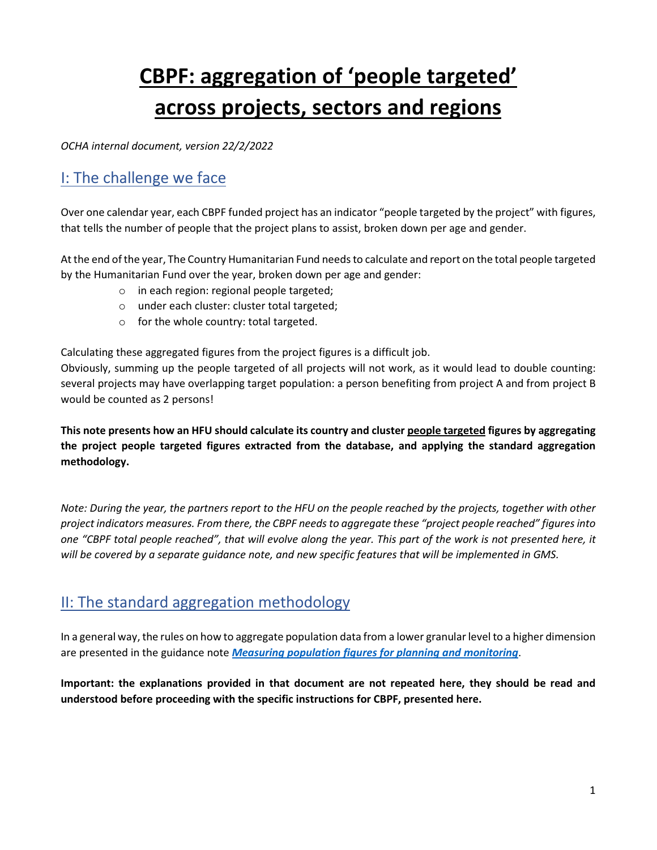# CBPF: aggregation of 'people targeted' across projects, sectors and regions

OCHA internal document, version 22/2/2022

# I: The challenge we face

Over one calendar year, each CBPF funded project has an indicator "people targeted by the project" with figures, that tells the number of people that the project plans to assist, broken down per age and gender.

At the end of the year, The Country Humanitarian Fund needs to calculate and report on the total people targeted by the Humanitarian Fund over the year, broken down per age and gender:

- o in each region: regional people targeted;
- o under each cluster: cluster total targeted;
- o for the whole country: total targeted.

Calculating these aggregated figures from the project figures is a difficult job.

Obviously, summing up the people targeted of all projects will not work, as it would lead to double counting: several projects may have overlapping target population: a person benefiting from project A and from project B would be counted as 2 persons!

This note presents how an HFU should calculate its country and cluster people targeted figures by aggregating the project people targeted figures extracted from the database, and applying the standard aggregation methodology.

Note: During the year, the partners report to the HFU on the people reached by the projects, together with other project indicators measures. From there, the CBPF needs to aggregate these "project people reached" figures into one "CBPF total people reached", that will evolve along the year. This part of the work is not presented here, it will be covered by a separate guidance note, and new specific features that will be implemented in GMS.

# II: The standard aggregation methodology

In a general way, the rules on how to aggregate population data from a lower granular level to a higher dimension are presented in the guidance note *Measuring population figures for planning and monitoring*.

Important: the explanations provided in that document are not repeated here, they should be read and understood before proceeding with the specific instructions for CBPF, presented here.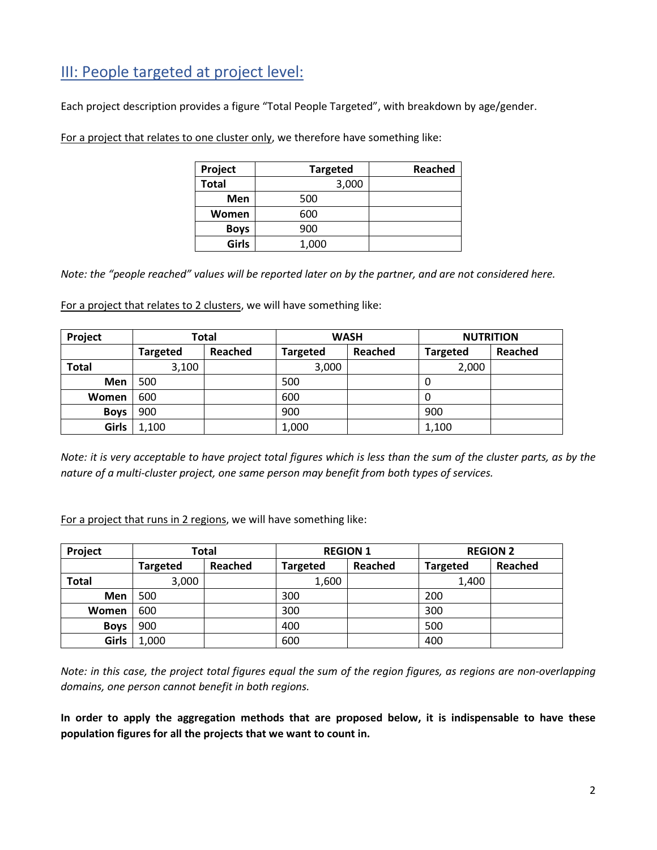# III: People targeted at project level:

Each project description provides a figure "Total People Targeted", with breakdown by age/gender.

For a project that relates to one cluster only, we therefore have something like:

| Project      | <b>Targeted</b> | <b>Reached</b> |
|--------------|-----------------|----------------|
| <b>Total</b> | 3,000           |                |
| Men          | 500             |                |
| Women        | 600             |                |
| <b>Boys</b>  | 900             |                |
| Girls        | 1,000           |                |

Note: the "people reached" values will be reported later on by the partner, and are not considered here.

For a project that relates to 2 clusters, we will have something like:

| Project<br>Total |                 |         |                 | <b>WASH</b> | <b>NUTRITION</b> |                |  |  |  |  |
|------------------|-----------------|---------|-----------------|-------------|------------------|----------------|--|--|--|--|
|                  | <b>Targeted</b> | Reached | <b>Targeted</b> | Reached     | <b>Targeted</b>  | <b>Reached</b> |  |  |  |  |
| <b>Total</b>     | 3,100           |         | 3,000           |             | 2,000            |                |  |  |  |  |
| Men              | 500             |         | 500             |             | 0                |                |  |  |  |  |
| Women            | 600             |         | 600             |             | 0                |                |  |  |  |  |
| <b>Boys</b>      | 900             |         | 900             |             | 900              |                |  |  |  |  |
| Girls            | 1,100           |         | 1,000           |             | 1,100            |                |  |  |  |  |

Note: it is very acceptable to have project total figures which is less than the sum of the cluster parts, as by the nature of a multi-cluster project, one same person may benefit from both types of services.

For a project that runs in 2 regions, we will have something like:

| Project      | Total           |         |                 | <b>REGION 1</b> | <b>REGION 2</b> |         |  |  |  |
|--------------|-----------------|---------|-----------------|-----------------|-----------------|---------|--|--|--|
|              | <b>Targeted</b> | Reached | <b>Targeted</b> | <b>Reached</b>  | <b>Targeted</b> | Reached |  |  |  |
| <b>Total</b> | 3,000           |         | 1,600           |                 | 1,400           |         |  |  |  |
| Men          | 500             |         | 300             |                 | 200             |         |  |  |  |
| Women        | 600             |         | 300             |                 | 300             |         |  |  |  |
| <b>Boys</b>  | 900             |         | 400             |                 | 500             |         |  |  |  |
| <b>Girls</b> | 1,000           |         | 600             |                 | 400             |         |  |  |  |

Note: in this case, the project total figures equal the sum of the region figures, as regions are non-overlapping domains, one person cannot benefit in both regions.

In order to apply the aggregation methods that are proposed below, it is indispensable to have these population figures for all the projects that we want to count in.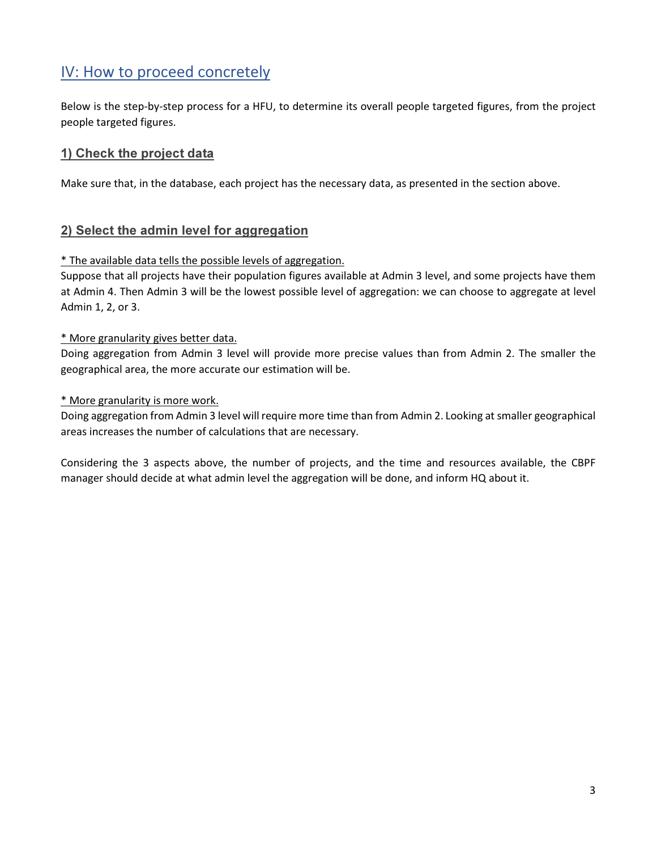# IV: How to proceed concretely

Below is the step-by-step process for a HFU, to determine its overall people targeted figures, from the project people targeted figures.

# 1) Check the project data

Make sure that, in the database, each project has the necessary data, as presented in the section above.

### 2) Select the admin level for aggregation

#### \* The available data tells the possible levels of aggregation.

Suppose that all projects have their population figures available at Admin 3 level, and some projects have them at Admin 4. Then Admin 3 will be the lowest possible level of aggregation: we can choose to aggregate at level Admin 1, 2, or 3.

#### \* More granularity gives better data.

Doing aggregation from Admin 3 level will provide more precise values than from Admin 2. The smaller the geographical area, the more accurate our estimation will be.

#### \* More granularity is more work.

Doing aggregation from Admin 3 level will require more time than from Admin 2. Looking at smaller geographical areas increases the number of calculations that are necessary.

Considering the 3 aspects above, the number of projects, and the time and resources available, the CBPF manager should decide at what admin level the aggregation will be done, and inform HQ about it.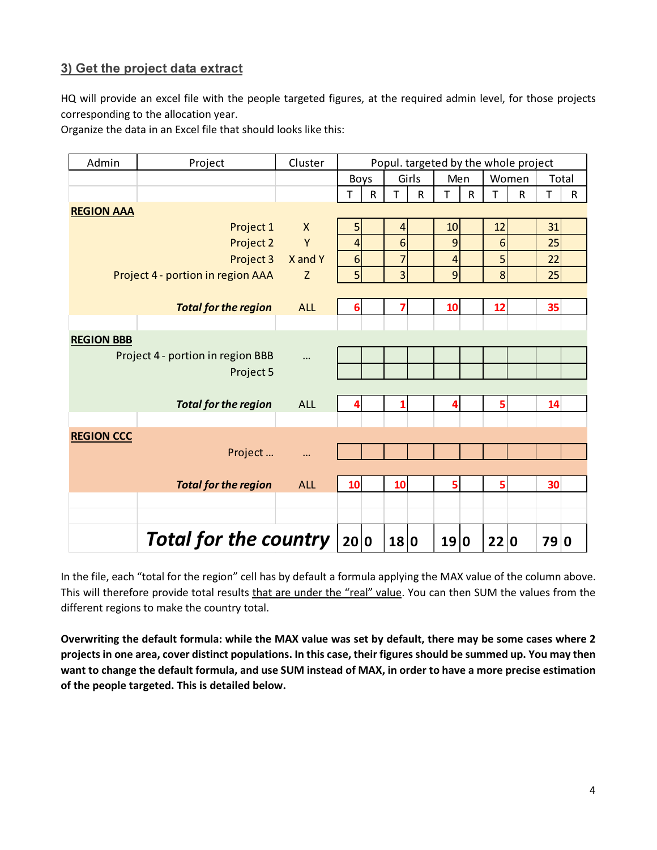# 3) Get the project data extract

HQ will provide an excel file with the people targeted figures, at the required admin level, for those projects corresponding to the allocation year.

Organize the data in an Excel file that should looks like this:

| Admin                        | Project                           | Cluster      | Popul. targeted by the whole project |             |                |              |                |   |      |             |     |              |
|------------------------------|-----------------------------------|--------------|--------------------------------------|-------------|----------------|--------------|----------------|---|------|-------------|-----|--------------|
|                              |                                   |              |                                      | Boys        |                | Girls        | Men            |   |      | Women       |     | Total        |
|                              |                                   |              | T                                    | $\mathsf R$ | т              | $\mathsf{R}$ | T              | R | т    | $\mathsf R$ | т   | $\mathsf{R}$ |
| <b>REGION AAA</b>            |                                   |              |                                      |             |                |              |                |   |      |             |     |              |
|                              | Project 1                         | $\mathsf{X}$ | 5                                    |             | $\overline{4}$ |              | 10             |   | 12   |             | 31  |              |
|                              | Project 2                         | Y            | 4                                    |             | 6              |              | 9              |   | 6    |             | 25  |              |
|                              | Project 3                         | X and Y      | $6\phantom{1}6$                      |             | $\overline{7}$ |              | $\overline{4}$ |   | 5    |             | 22  |              |
|                              | Project 4 - portion in region AAA | Z            | 5 <sup>1</sup>                       |             | $\overline{3}$ |              | $\overline{9}$ |   | 8    |             | 25  |              |
|                              |                                   |              |                                      |             |                |              |                |   |      |             |     |              |
|                              | <b>Total for the region</b>       | <b>ALL</b>   | 6                                    |             | 7              |              | 10             |   | 12   |             | 35  |              |
|                              |                                   |              |                                      |             |                |              |                |   |      |             |     |              |
| <b>REGION BBB</b>            |                                   |              |                                      |             |                |              |                |   |      |             |     |              |
|                              | Project 4 - portion in region BBB | $\cdots$     |                                      |             |                |              |                |   |      |             |     |              |
|                              | Project 5                         |              |                                      |             |                |              |                |   |      |             |     |              |
|                              |                                   |              |                                      |             |                |              |                |   |      |             |     |              |
|                              | <b>Total for the region</b>       | <b>ALL</b>   | 4                                    |             | 1              |              | 4              |   | 5    |             | 14  |              |
|                              |                                   |              |                                      |             |                |              |                |   |      |             |     |              |
| <b>REGION CCC</b>            |                                   |              |                                      |             |                |              |                |   |      |             |     |              |
|                              | Project                           | $\ddotsc$    |                                      |             |                |              |                |   |      |             |     |              |
|                              |                                   |              |                                      |             |                |              |                |   |      |             |     |              |
|                              | <b>Total for the region</b>       | <b>ALL</b>   | 10                                   |             | 10             |              | 5              |   | 5    |             | 30  |              |
|                              |                                   |              |                                      |             |                |              |                |   |      |             |     |              |
|                              |                                   |              |                                      |             |                |              |                |   |      |             |     |              |
| <b>Total for the country</b> |                                   |              |                                      | 20 0        | 18 0           |              | 19             | 0 | 22 0 |             | 790 |              |

In the file, each "total for the region" cell has by default a formula applying the MAX value of the column above. This will therefore provide total results that are under the "real" value. You can then SUM the values from the different regions to make the country total.

Overwriting the default formula: while the MAX value was set by default, there may be some cases where 2 projects in one area, cover distinct populations. In this case, their figures should be summed up. You may then want to change the default formula, and use SUM instead of MAX, in order to have a more precise estimation of the people targeted. This is detailed below.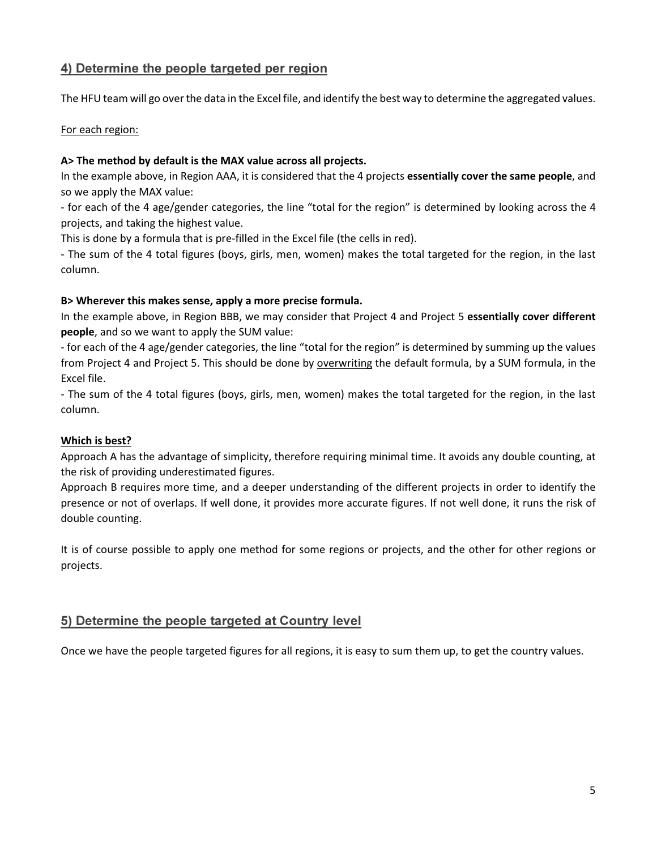## 4) Determine the people targeted per region

The HFU team will go over the data in the Excel file, and identify the best way to determine the aggregated values.

#### For each region:

#### A> The method by default is the MAX value across all projects.

In the example above, in Region AAA, it is considered that the 4 projects essentially cover the same people, and so we apply the MAX value:

- for each of the 4 age/gender categories, the line "total for the region" is determined by looking across the 4 projects, and taking the highest value.

This is done by a formula that is pre-filled in the Excel file (the cells in red).

- The sum of the 4 total figures (boys, girls, men, women) makes the total targeted for the region, in the last column.

#### B> Wherever this makes sense, apply a more precise formula.

In the example above, in Region BBB, we may consider that Project 4 and Project 5 essentially cover different people, and so we want to apply the SUM value:

- for each of the 4 age/gender categories, the line "total for the region" is determined by summing up the values from Project 4 and Project 5. This should be done by overwriting the default formula, by a SUM formula, in the Excel file.

- The sum of the 4 total figures (boys, girls, men, women) makes the total targeted for the region, in the last column.

#### Which is best?

Approach A has the advantage of simplicity, therefore requiring minimal time. It avoids any double counting, at the risk of providing underestimated figures.

Approach B requires more time, and a deeper understanding of the different projects in order to identify the presence or not of overlaps. If well done, it provides more accurate figures. If not well done, it runs the risk of double counting.

It is of course possible to apply one method for some regions or projects, and the other for other regions or projects.

## 5) Determine the people targeted at Country level

Once we have the people targeted figures for all regions, it is easy to sum them up, to get the country values.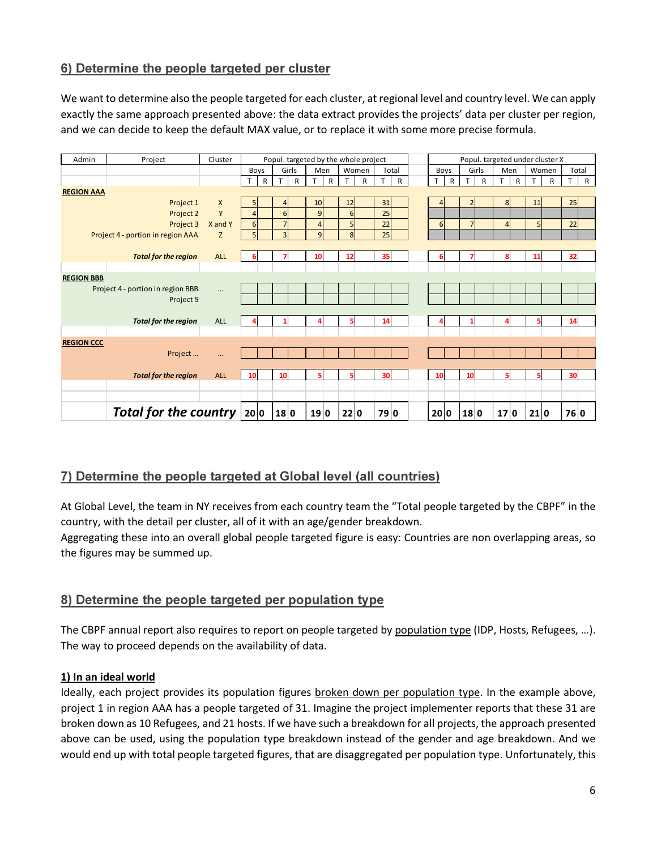# 6) Determine the people targeted per cluster

We want to determine also the people targeted for each cluster, at regional level and country level. We can apply exactly the same approach presented above: the data extract provides the projects' data per cluster per region, and we can decide to keep the default MAX value, or to replace it with some more precise formula.

| Admin             | Project                           | Cluster    |                | Popul. targeted by the whole project<br>Popul. targeted under cluster X |                  |       |                |     |      |       |     |              |               |              |                |              |                |   |      |       |      |              |
|-------------------|-----------------------------------|------------|----------------|-------------------------------------------------------------------------|------------------|-------|----------------|-----|------|-------|-----|--------------|---------------|--------------|----------------|--------------|----------------|---|------|-------|------|--------------|
|                   |                                   |            | Boys           |                                                                         |                  | Girls |                | Men |      | Women |     | Total        | Girls<br>Boys |              |                | Men<br>Women |                |   |      | Total |      |              |
|                   |                                   |            | т              | R                                                                       | T.               | R     | T              | R   | T.   | R     | T.  | $\mathsf{R}$ | T             | $\mathsf{R}$ | T.             | $\mathsf{R}$ | T              | R | T.   | R     |      | $\mathsf{R}$ |
| <b>REGION AAA</b> |                                   |            |                |                                                                         |                  |       |                |     |      |       |     |              |               |              |                |              |                |   |      |       |      |              |
|                   | Project 1                         | X          |                |                                                                         | $\left 4\right $ |       | 10             |     | 12   |       | 31  |              |               |              | $\overline{2}$ |              | 8 <sup>1</sup> |   | 11   |       | 25   |              |
|                   | Project 2                         | Y          | $\overline{4}$ |                                                                         | $6 \overline{6}$ |       | $\overline{9}$ |     | 6    |       | 25  |              |               |              |                |              |                |   |      |       |      |              |
|                   | Project 3                         | X and Y    | 6              |                                                                         | 7                |       | $\overline{4}$ |     | 5    |       | 22  |              | $6 \mid$      |              | $\overline{7}$ |              | $\overline{4}$ |   | 5    |       | 22   |              |
|                   | Project 4 - portion in region AAA | Z          | 5              |                                                                         | $\overline{3}$   |       | $\mathsf{g}$   |     | 8    |       | 25  |              |               |              |                |              |                |   |      |       |      |              |
|                   |                                   |            |                |                                                                         |                  |       |                |     |      |       |     |              |               |              |                |              |                |   |      |       |      |              |
|                   | <b>Total for the region</b>       | <b>ALL</b> |                |                                                                         |                  |       | 10             |     | 12   |       | 35  |              |               |              |                |              | 8              |   | 11   |       | 32   |              |
|                   |                                   |            |                |                                                                         |                  |       |                |     |      |       |     |              |               |              |                |              |                |   |      |       |      |              |
| <b>REGION BBB</b> |                                   |            |                |                                                                         |                  |       |                |     |      |       |     |              |               |              |                |              |                |   |      |       |      |              |
|                   | Project 4 - portion in region BBB |            |                |                                                                         |                  |       |                |     |      |       |     |              |               |              |                |              |                |   |      |       |      |              |
|                   | Project 5                         |            |                |                                                                         |                  |       |                |     |      |       |     |              |               |              |                |              |                |   |      |       |      |              |
|                   |                                   |            |                |                                                                         |                  |       |                |     |      |       |     |              |               |              |                |              |                |   |      |       |      |              |
|                   | <b>Total for the region</b>       | <b>ALL</b> |                |                                                                         |                  |       |                |     |      |       | 14  |              |               |              |                |              |                |   |      |       | 14   |              |
|                   |                                   |            |                |                                                                         |                  |       |                |     |      |       |     |              |               |              |                |              |                |   |      |       |      |              |
| <b>REGION CCC</b> |                                   |            |                |                                                                         |                  |       |                |     |      |       |     |              |               |              |                |              |                |   |      |       |      |              |
|                   | Project                           | m.         |                |                                                                         |                  |       |                |     |      |       |     |              |               |              |                |              |                |   |      |       |      |              |
|                   |                                   |            |                |                                                                         |                  |       |                |     |      |       |     |              |               |              |                |              |                |   |      |       |      |              |
|                   | <b>Total for the region</b>       | <b>ALL</b> | 10             |                                                                         | 10               |       |                |     | 5    |       | 30  |              | 10            |              | 10             |              | 5              |   |      |       | 30   |              |
|                   |                                   |            |                |                                                                         |                  |       |                |     |      |       |     |              |               |              |                |              |                |   |      |       |      |              |
|                   |                                   |            |                |                                                                         |                  |       |                |     |      |       |     |              |               |              |                |              |                |   |      |       |      |              |
|                   | Total for the country $ 20 0$     |            |                |                                                                         | 180              |       | 19 0           |     | 22 0 |       | 790 |              | 20 0          |              | 18 0           |              | 17 0           |   | 21 0 |       | 76 0 |              |

## 7) Determine the people targeted at Global level (all countries)

At Global Level, the team in NY receives from each country team the "Total people targeted by the CBPF" in the country, with the detail per cluster, all of it with an age/gender breakdown.

Aggregating these into an overall global people targeted figure is easy: Countries are non overlapping areas, so the figures may be summed up.

## 8) Determine the people targeted per population type

The CBPF annual report also requires to report on people targeted by population type (IDP, Hosts, Refugees, ...). The way to proceed depends on the availability of data.

#### 1) In an ideal world

Ideally, each project provides its population figures broken down per population type. In the example above, project 1 in region AAA has a people targeted of 31. Imagine the project implementer reports that these 31 are broken down as 10 Refugees, and 21 hosts. If we have such a breakdown for all projects, the approach presented above can be used, using the population type breakdown instead of the gender and age breakdown. And we would end up with total people targeted figures, that are disaggregated per population type. Unfortunately, this